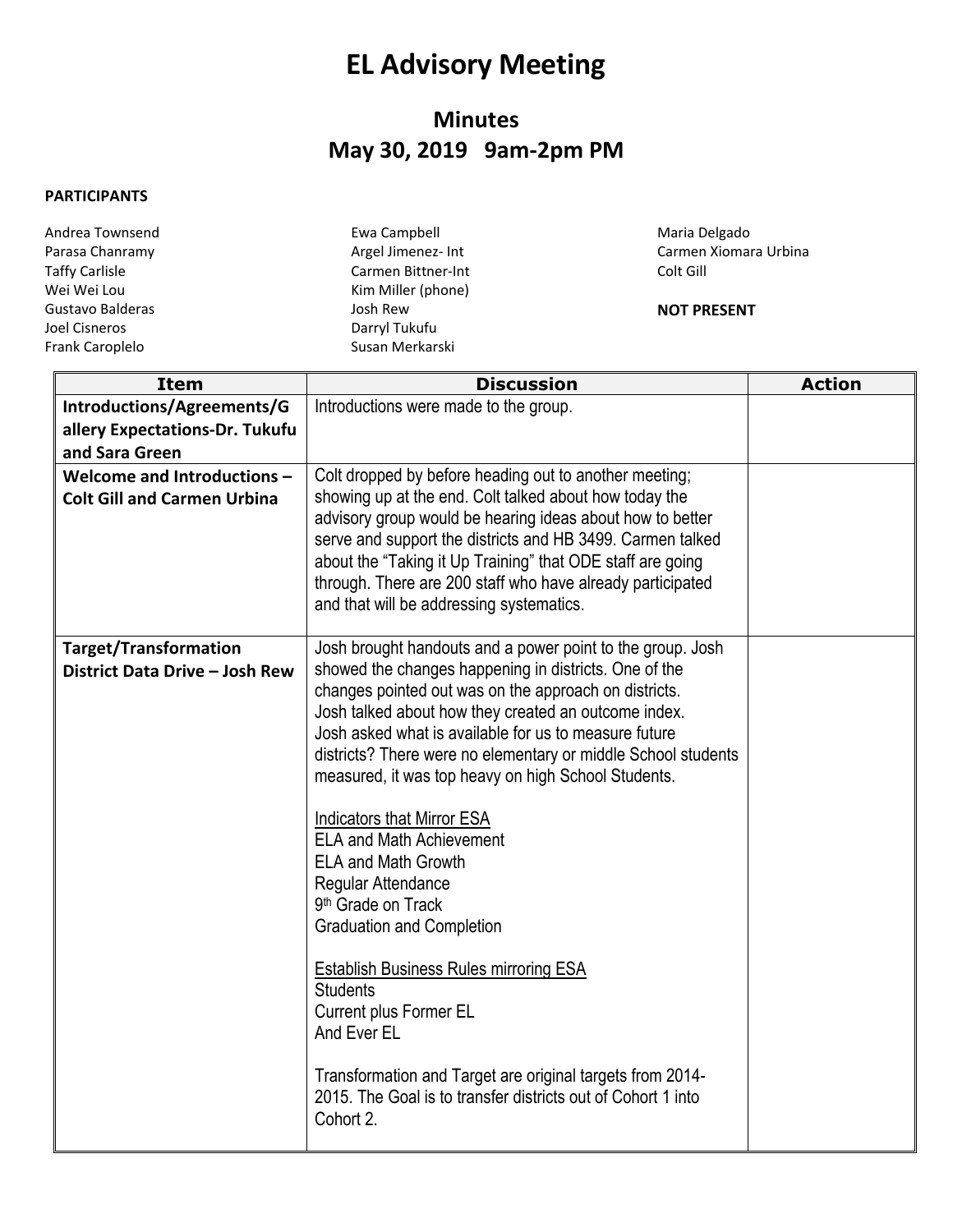## **EL Advisory Meeting**

## **Minutes May 30, 2019 9am-2pm PM**

## **PARTICIPANTS**

| Andrea Townsend       | Ewa Campbell       |
|-----------------------|--------------------|
| Parasa Chanramy       | Argel Jimenez- Int |
| <b>Taffy Carlisle</b> | Carmen Bittner-Int |
| Wei Wei Lou           | Kim Miller (phone) |
| Gustavo Balderas      | Josh Rew           |
| Joel Cisneros         | Darryl Tukufu      |
| Frank Caroplelo       | Susan Merkarski    |
|                       |                    |

Maria Delgado Carmen Xiomara Urbina Colt Gill

## **NOT PRESENT**

| <b>Item</b>                                                      | <b>Discussion</b>                                                                                                                                                                                                                                                                                                                                                                                                                                                                                                                                                                                                                                                                                                                                                                                                                                                                     | <b>Action</b> |
|------------------------------------------------------------------|---------------------------------------------------------------------------------------------------------------------------------------------------------------------------------------------------------------------------------------------------------------------------------------------------------------------------------------------------------------------------------------------------------------------------------------------------------------------------------------------------------------------------------------------------------------------------------------------------------------------------------------------------------------------------------------------------------------------------------------------------------------------------------------------------------------------------------------------------------------------------------------|---------------|
| Introductions/Agreements/G                                       | Introductions were made to the group.                                                                                                                                                                                                                                                                                                                                                                                                                                                                                                                                                                                                                                                                                                                                                                                                                                                 |               |
| allery Expectations-Dr. Tukufu                                   |                                                                                                                                                                                                                                                                                                                                                                                                                                                                                                                                                                                                                                                                                                                                                                                                                                                                                       |               |
| and Sara Green                                                   |                                                                                                                                                                                                                                                                                                                                                                                                                                                                                                                                                                                                                                                                                                                                                                                                                                                                                       |               |
| Welcome and Introductions-<br><b>Colt Gill and Carmen Urbina</b> | Colt dropped by before heading out to another meeting;<br>showing up at the end. Colt talked about how today the<br>advisory group would be hearing ideas about how to better<br>serve and support the districts and HB 3499. Carmen talked<br>about the "Taking it Up Training" that ODE staff are going<br>through. There are 200 staff who have already participated<br>and that will be addressing systematics.                                                                                                                                                                                                                                                                                                                                                                                                                                                                   |               |
| <b>Target/Transformation</b><br>District Data Drive - Josh Rew   | Josh brought handouts and a power point to the group. Josh<br>showed the changes happening in districts. One of the<br>changes pointed out was on the approach on districts.<br>Josh talked about how they created an outcome index.<br>Josh asked what is available for us to measure future<br>districts? There were no elementary or middle School students<br>measured, it was top heavy on high School Students.<br><b>Indicators that Mirror ESA</b><br><b>ELA and Math Achievement</b><br><b>ELA and Math Growth</b><br>Regular Attendance<br>9 <sup>th</sup> Grade on Track<br><b>Graduation and Completion</b><br><b>Establish Business Rules mirroring ESA</b><br><b>Students</b><br><b>Current plus Former EL</b><br>And Ever EL<br>Transformation and Target are original targets from 2014-<br>2015. The Goal is to transfer districts out of Cohort 1 into<br>Cohort 2. |               |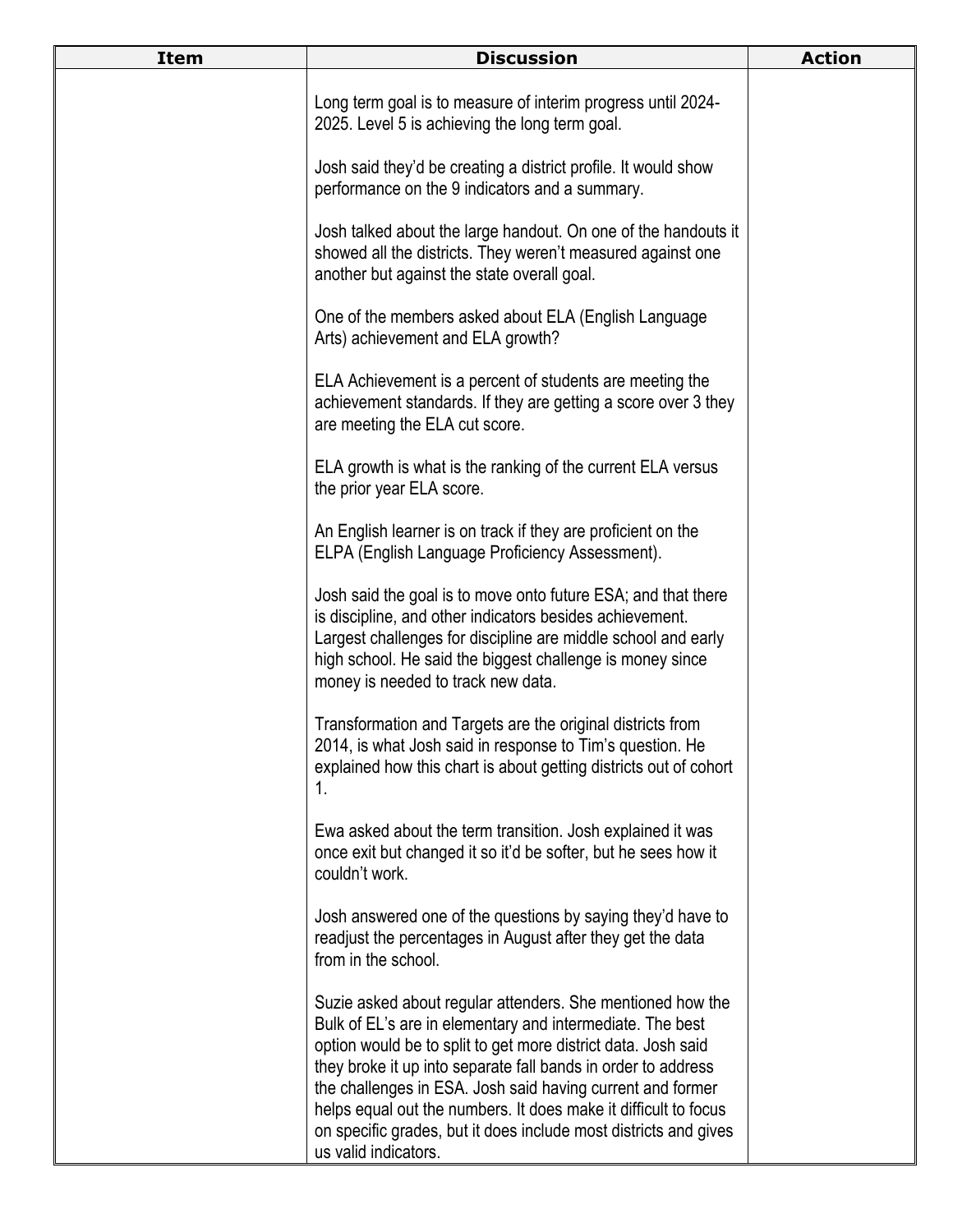| <b>Item</b> | <b>Discussion</b>                                                                                                                                                                                                                                                                                                                                                                                                                                                                      | <b>Action</b> |
|-------------|----------------------------------------------------------------------------------------------------------------------------------------------------------------------------------------------------------------------------------------------------------------------------------------------------------------------------------------------------------------------------------------------------------------------------------------------------------------------------------------|---------------|
|             | Long term goal is to measure of interim progress until 2024-<br>2025. Level 5 is achieving the long term goal.                                                                                                                                                                                                                                                                                                                                                                         |               |
|             | Josh said they'd be creating a district profile. It would show<br>performance on the 9 indicators and a summary.                                                                                                                                                                                                                                                                                                                                                                       |               |
|             | Josh talked about the large handout. On one of the handouts it<br>showed all the districts. They weren't measured against one<br>another but against the state overall goal.                                                                                                                                                                                                                                                                                                           |               |
|             | One of the members asked about ELA (English Language<br>Arts) achievement and ELA growth?                                                                                                                                                                                                                                                                                                                                                                                              |               |
|             | ELA Achievement is a percent of students are meeting the<br>achievement standards. If they are getting a score over 3 they<br>are meeting the ELA cut score.                                                                                                                                                                                                                                                                                                                           |               |
|             | ELA growth is what is the ranking of the current ELA versus<br>the prior year ELA score.                                                                                                                                                                                                                                                                                                                                                                                               |               |
|             | An English learner is on track if they are proficient on the<br>ELPA (English Language Proficiency Assessment).                                                                                                                                                                                                                                                                                                                                                                        |               |
|             | Josh said the goal is to move onto future ESA; and that there<br>is discipline, and other indicators besides achievement.<br>Largest challenges for discipline are middle school and early<br>high school. He said the biggest challenge is money since<br>money is needed to track new data.                                                                                                                                                                                          |               |
|             | Transformation and Targets are the original districts from<br>2014, is what Josh said in response to Tim's question. He<br>explained how this chart is about getting districts out of cohort<br>1.                                                                                                                                                                                                                                                                                     |               |
|             | Ewa asked about the term transition. Josh explained it was<br>once exit but changed it so it'd be softer, but he sees how it<br>couldn't work.                                                                                                                                                                                                                                                                                                                                         |               |
|             | Josh answered one of the questions by saying they'd have to<br>readjust the percentages in August after they get the data<br>from in the school.                                                                                                                                                                                                                                                                                                                                       |               |
|             | Suzie asked about regular attenders. She mentioned how the<br>Bulk of EL's are in elementary and intermediate. The best<br>option would be to split to get more district data. Josh said<br>they broke it up into separate fall bands in order to address<br>the challenges in ESA. Josh said having current and former<br>helps equal out the numbers. It does make it difficult to focus<br>on specific grades, but it does include most districts and gives<br>us valid indicators. |               |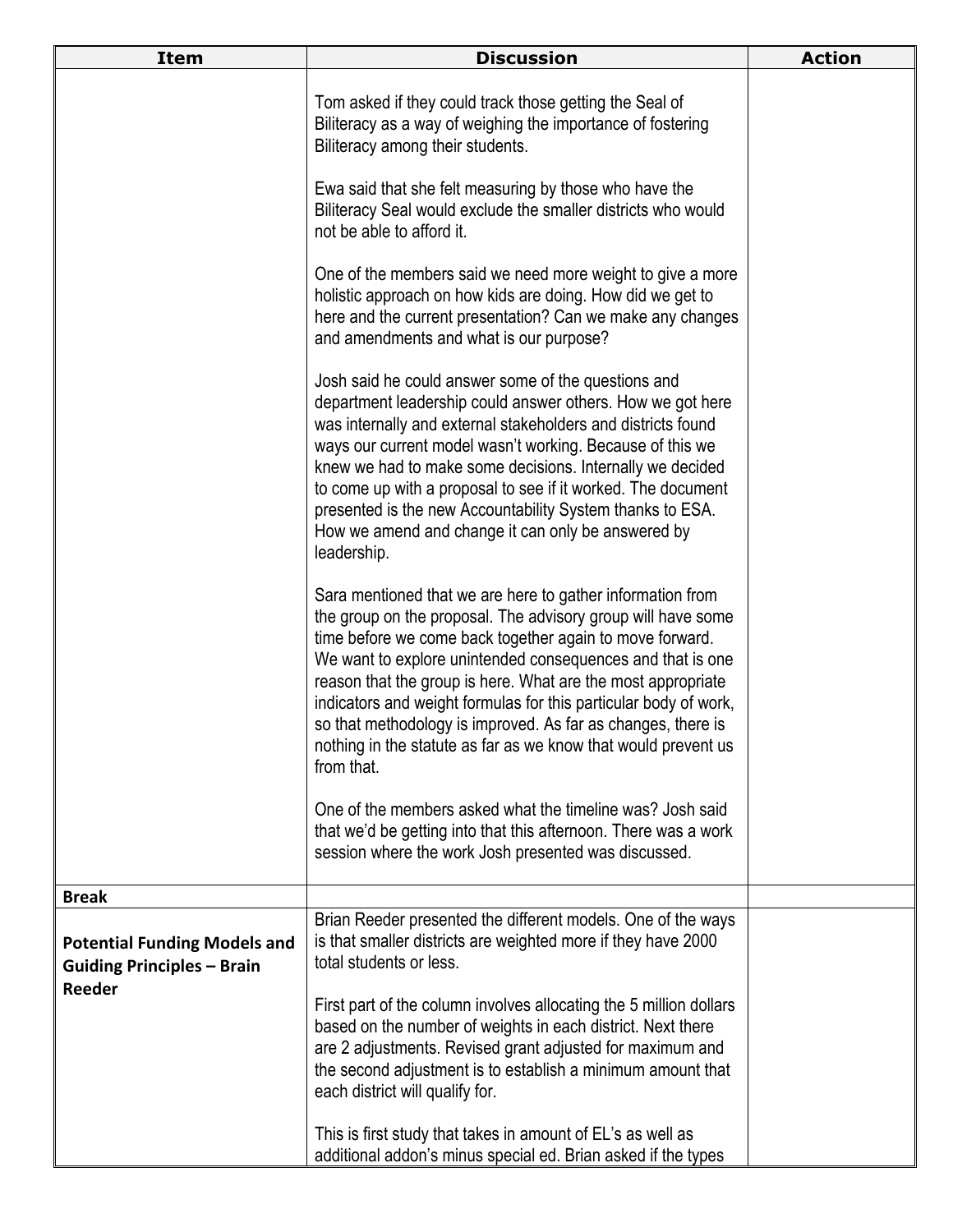| <b>Item</b>                                                                        | <b>Discussion</b>                                                                                                                                                                                                                                                                                                                                                                                                                                                                                                                        | <b>Action</b> |
|------------------------------------------------------------------------------------|------------------------------------------------------------------------------------------------------------------------------------------------------------------------------------------------------------------------------------------------------------------------------------------------------------------------------------------------------------------------------------------------------------------------------------------------------------------------------------------------------------------------------------------|---------------|
|                                                                                    | Tom asked if they could track those getting the Seal of<br>Biliteracy as a way of weighing the importance of fostering<br>Biliteracy among their students.                                                                                                                                                                                                                                                                                                                                                                               |               |
|                                                                                    | Ewa said that she felt measuring by those who have the<br>Biliteracy Seal would exclude the smaller districts who would<br>not be able to afford it.                                                                                                                                                                                                                                                                                                                                                                                     |               |
|                                                                                    | One of the members said we need more weight to give a more<br>holistic approach on how kids are doing. How did we get to<br>here and the current presentation? Can we make any changes<br>and amendments and what is our purpose?                                                                                                                                                                                                                                                                                                        |               |
|                                                                                    | Josh said he could answer some of the questions and<br>department leadership could answer others. How we got here<br>was internally and external stakeholders and districts found<br>ways our current model wasn't working. Because of this we<br>knew we had to make some decisions. Internally we decided<br>to come up with a proposal to see if it worked. The document<br>presented is the new Accountability System thanks to ESA.<br>How we amend and change it can only be answered by<br>leadership.                            |               |
|                                                                                    | Sara mentioned that we are here to gather information from<br>the group on the proposal. The advisory group will have some<br>time before we come back together again to move forward.<br>We want to explore unintended consequences and that is one<br>reason that the group is here. What are the most appropriate<br>indicators and weight formulas for this particular body of work,<br>so that methodology is improved. As far as changes, there is<br>nothing in the statute as far as we know that would prevent us<br>from that. |               |
|                                                                                    | One of the members asked what the timeline was? Josh said<br>that we'd be getting into that this afternoon. There was a work<br>session where the work Josh presented was discussed.                                                                                                                                                                                                                                                                                                                                                     |               |
| <b>Break</b>                                                                       |                                                                                                                                                                                                                                                                                                                                                                                                                                                                                                                                          |               |
| <b>Potential Funding Models and</b><br><b>Guiding Principles - Brain</b><br>Reeder | Brian Reeder presented the different models. One of the ways<br>is that smaller districts are weighted more if they have 2000<br>total students or less.                                                                                                                                                                                                                                                                                                                                                                                 |               |
|                                                                                    | First part of the column involves allocating the 5 million dollars<br>based on the number of weights in each district. Next there<br>are 2 adjustments. Revised grant adjusted for maximum and<br>the second adjustment is to establish a minimum amount that<br>each district will qualify for.                                                                                                                                                                                                                                         |               |
|                                                                                    | This is first study that takes in amount of EL's as well as<br>additional addon's minus special ed. Brian asked if the types                                                                                                                                                                                                                                                                                                                                                                                                             |               |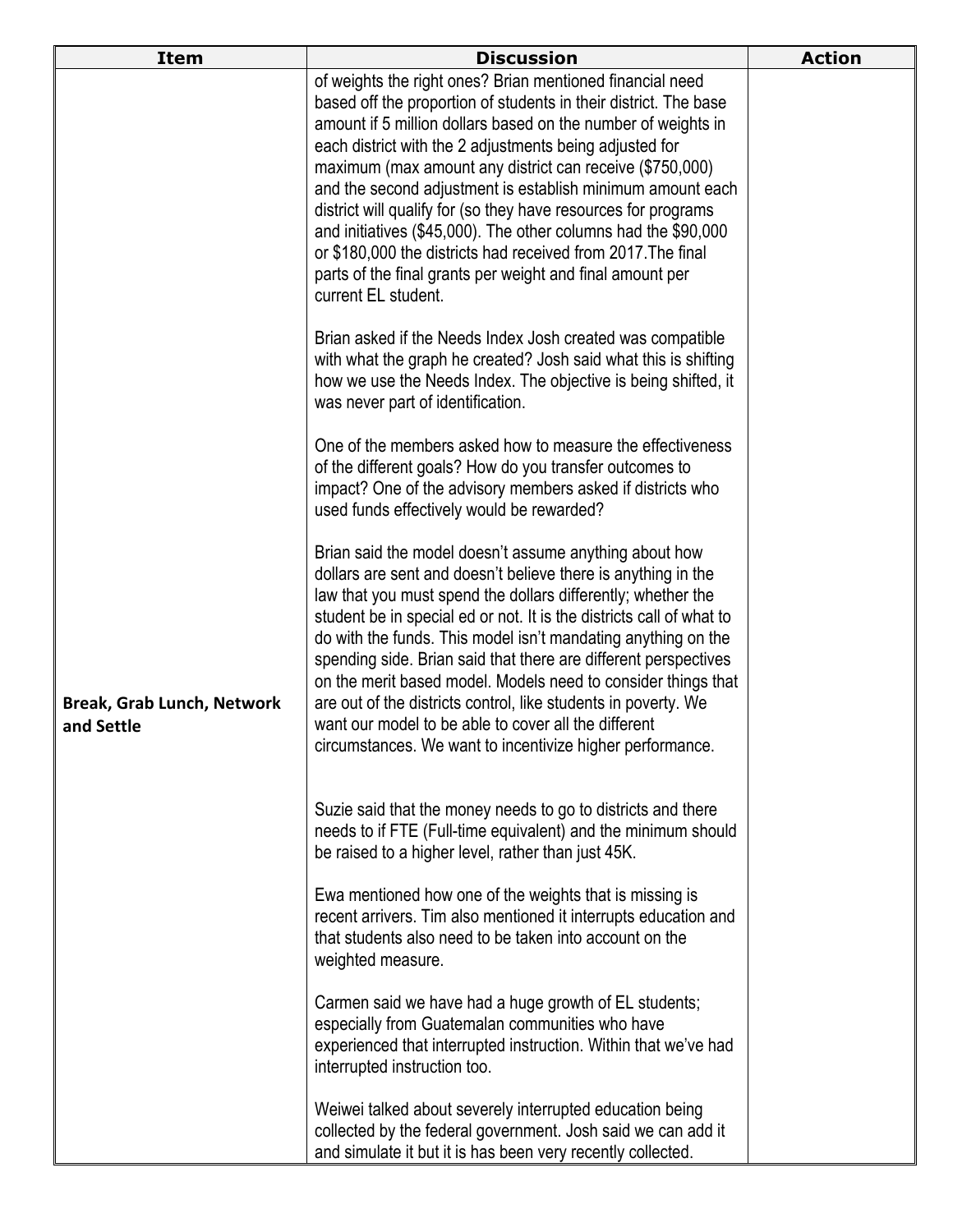| <b>Item</b>                                     | <b>Discussion</b>                                                                                                                                                                                                                                                                                                                                                                                                                                                                                                                                                                                                                                                           | <b>Action</b> |
|-------------------------------------------------|-----------------------------------------------------------------------------------------------------------------------------------------------------------------------------------------------------------------------------------------------------------------------------------------------------------------------------------------------------------------------------------------------------------------------------------------------------------------------------------------------------------------------------------------------------------------------------------------------------------------------------------------------------------------------------|---------------|
|                                                 | of weights the right ones? Brian mentioned financial need<br>based off the proportion of students in their district. The base<br>amount if 5 million dollars based on the number of weights in<br>each district with the 2 adjustments being adjusted for<br>maximum (max amount any district can receive (\$750,000)<br>and the second adjustment is establish minimum amount each<br>district will qualify for (so they have resources for programs<br>and initiatives (\$45,000). The other columns had the \$90,000<br>or \$180,000 the districts had received from 2017. The final<br>parts of the final grants per weight and final amount per<br>current EL student. |               |
|                                                 | Brian asked if the Needs Index Josh created was compatible<br>with what the graph he created? Josh said what this is shifting<br>how we use the Needs Index. The objective is being shifted, it<br>was never part of identification.                                                                                                                                                                                                                                                                                                                                                                                                                                        |               |
|                                                 | One of the members asked how to measure the effectiveness<br>of the different goals? How do you transfer outcomes to<br>impact? One of the advisory members asked if districts who<br>used funds effectively would be rewarded?                                                                                                                                                                                                                                                                                                                                                                                                                                             |               |
| <b>Break, Grab Lunch, Network</b><br>and Settle | Brian said the model doesn't assume anything about how<br>dollars are sent and doesn't believe there is anything in the<br>law that you must spend the dollars differently; whether the<br>student be in special ed or not. It is the districts call of what to<br>do with the funds. This model isn't mandating anything on the<br>spending side. Brian said that there are different perspectives<br>on the merit based model. Models need to consider things that<br>are out of the districts control, like students in poverty. We<br>want our model to be able to cover all the different<br>circumstances. We want to incentivize higher performance.                 |               |
|                                                 | Suzie said that the money needs to go to districts and there<br>needs to if FTE (Full-time equivalent) and the minimum should<br>be raised to a higher level, rather than just 45K.                                                                                                                                                                                                                                                                                                                                                                                                                                                                                         |               |
|                                                 | Ewa mentioned how one of the weights that is missing is<br>recent arrivers. Tim also mentioned it interrupts education and<br>that students also need to be taken into account on the<br>weighted measure.                                                                                                                                                                                                                                                                                                                                                                                                                                                                  |               |
|                                                 | Carmen said we have had a huge growth of EL students;<br>especially from Guatemalan communities who have<br>experienced that interrupted instruction. Within that we've had<br>interrupted instruction too.                                                                                                                                                                                                                                                                                                                                                                                                                                                                 |               |
|                                                 | Weiwei talked about severely interrupted education being<br>collected by the federal government. Josh said we can add it<br>and simulate it but it is has been very recently collected.                                                                                                                                                                                                                                                                                                                                                                                                                                                                                     |               |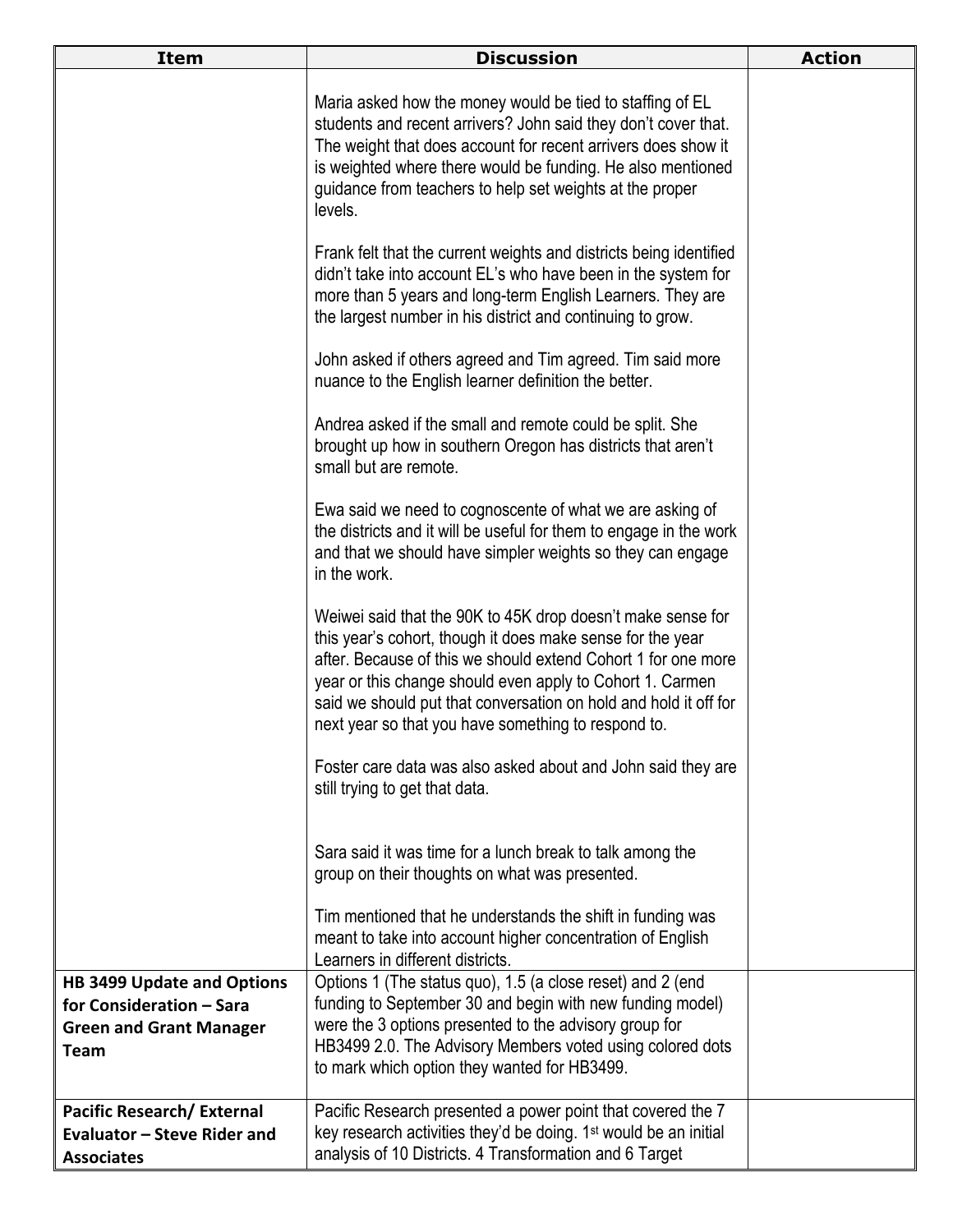| <b>Item</b>                       | <b>Discussion</b>                                                                                                                                                                                                                                                                                                                                                                  | <b>Action</b> |
|-----------------------------------|------------------------------------------------------------------------------------------------------------------------------------------------------------------------------------------------------------------------------------------------------------------------------------------------------------------------------------------------------------------------------------|---------------|
|                                   | Maria asked how the money would be tied to staffing of EL<br>students and recent arrivers? John said they don't cover that.<br>The weight that does account for recent arrivers does show it<br>is weighted where there would be funding. He also mentioned<br>guidance from teachers to help set weights at the proper<br>levels.                                                 |               |
|                                   | Frank felt that the current weights and districts being identified<br>didn't take into account EL's who have been in the system for<br>more than 5 years and long-term English Learners. They are<br>the largest number in his district and continuing to grow.                                                                                                                    |               |
|                                   | John asked if others agreed and Tim agreed. Tim said more<br>nuance to the English learner definition the better.                                                                                                                                                                                                                                                                  |               |
|                                   | Andrea asked if the small and remote could be split. She<br>brought up how in southern Oregon has districts that aren't<br>small but are remote.                                                                                                                                                                                                                                   |               |
|                                   | Ewa said we need to cognoscente of what we are asking of<br>the districts and it will be useful for them to engage in the work<br>and that we should have simpler weights so they can engage<br>in the work.                                                                                                                                                                       |               |
|                                   | Weiwei said that the 90K to 45K drop doesn't make sense for<br>this year's cohort, though it does make sense for the year<br>after. Because of this we should extend Cohort 1 for one more<br>year or this change should even apply to Cohort 1. Carmen<br>said we should put that conversation on hold and hold it off for<br>next year so that you have something to respond to. |               |
|                                   | Foster care data was also asked about and John said they are<br>still trying to get that data.                                                                                                                                                                                                                                                                                     |               |
|                                   | Sara said it was time for a lunch break to talk among the<br>group on their thoughts on what was presented.                                                                                                                                                                                                                                                                        |               |
|                                   | Tim mentioned that he understands the shift in funding was<br>meant to take into account higher concentration of English<br>Learners in different districts.                                                                                                                                                                                                                       |               |
| <b>HB 3499 Update and Options</b> | Options 1 (The status quo), 1.5 (a close reset) and 2 (end                                                                                                                                                                                                                                                                                                                         |               |
| for Consideration - Sara          | funding to September 30 and begin with new funding model)                                                                                                                                                                                                                                                                                                                          |               |
| <b>Green and Grant Manager</b>    | were the 3 options presented to the advisory group for                                                                                                                                                                                                                                                                                                                             |               |
| <b>Team</b>                       | HB3499 2.0. The Advisory Members voted using colored dots<br>to mark which option they wanted for HB3499.                                                                                                                                                                                                                                                                          |               |
| <b>Pacific Research/External</b>  | Pacific Research presented a power point that covered the 7                                                                                                                                                                                                                                                                                                                        |               |
| Evaluator - Steve Rider and       | key research activities they'd be doing. 1 <sup>st</sup> would be an initial                                                                                                                                                                                                                                                                                                       |               |
| <b>Associates</b>                 | analysis of 10 Districts. 4 Transformation and 6 Target                                                                                                                                                                                                                                                                                                                            |               |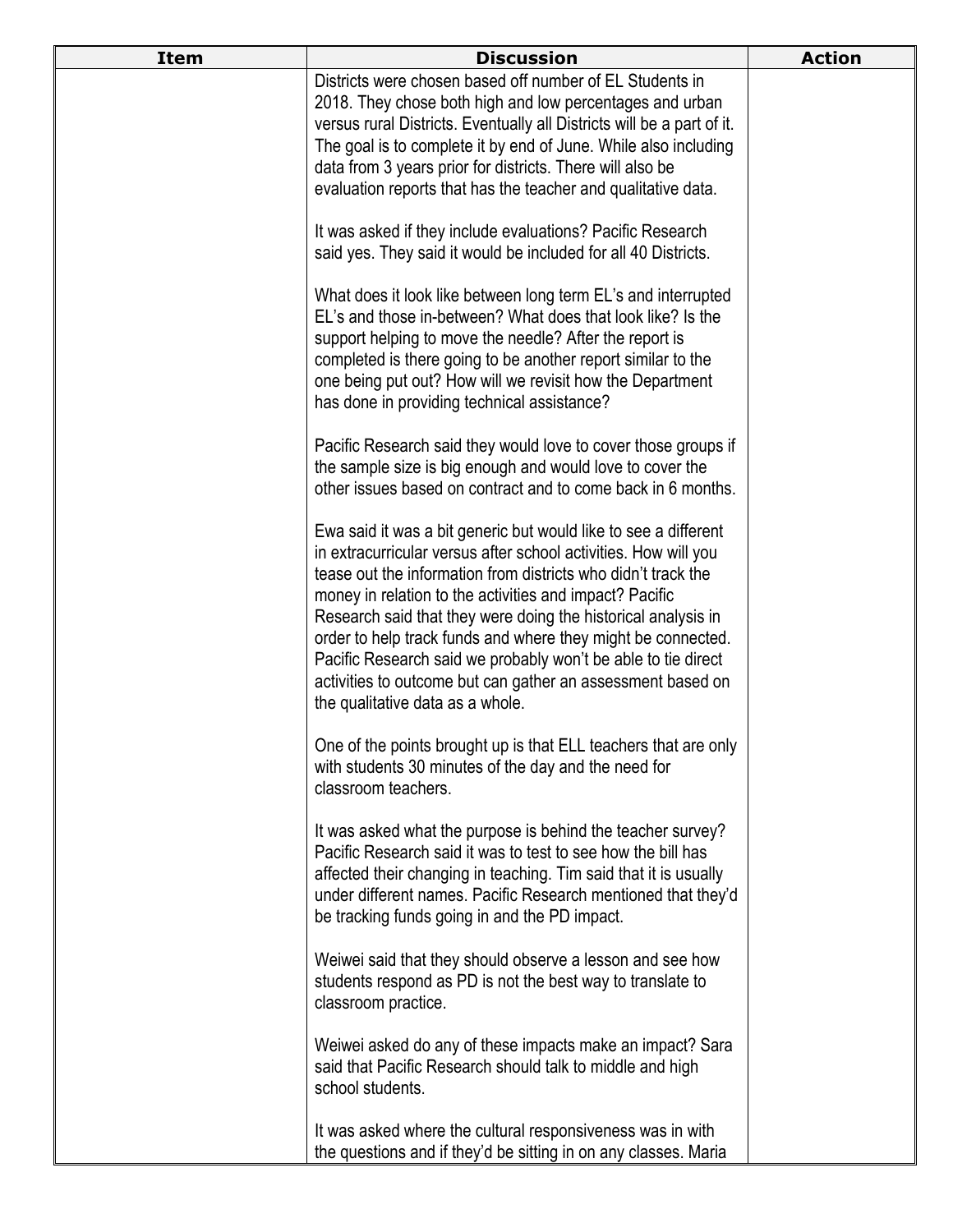| <b>Item</b> | <b>Discussion</b>                                                                                                                                                                                                                                                                                                                                                                                                                                                                                                                                                   | <b>Action</b> |
|-------------|---------------------------------------------------------------------------------------------------------------------------------------------------------------------------------------------------------------------------------------------------------------------------------------------------------------------------------------------------------------------------------------------------------------------------------------------------------------------------------------------------------------------------------------------------------------------|---------------|
|             | Districts were chosen based off number of EL Students in<br>2018. They chose both high and low percentages and urban<br>versus rural Districts. Eventually all Districts will be a part of it.<br>The goal is to complete it by end of June. While also including<br>data from 3 years prior for districts. There will also be<br>evaluation reports that has the teacher and qualitative data.                                                                                                                                                                     |               |
|             | It was asked if they include evaluations? Pacific Research<br>said yes. They said it would be included for all 40 Districts.                                                                                                                                                                                                                                                                                                                                                                                                                                        |               |
|             | What does it look like between long term EL's and interrupted<br>EL's and those in-between? What does that look like? Is the<br>support helping to move the needle? After the report is<br>completed is there going to be another report similar to the<br>one being put out? How will we revisit how the Department<br>has done in providing technical assistance?                                                                                                                                                                                                 |               |
|             | Pacific Research said they would love to cover those groups if<br>the sample size is big enough and would love to cover the<br>other issues based on contract and to come back in 6 months.                                                                                                                                                                                                                                                                                                                                                                         |               |
|             | Ewa said it was a bit generic but would like to see a different<br>in extracurricular versus after school activities. How will you<br>tease out the information from districts who didn't track the<br>money in relation to the activities and impact? Pacific<br>Research said that they were doing the historical analysis in<br>order to help track funds and where they might be connected.<br>Pacific Research said we probably won't be able to tie direct<br>activities to outcome but can gather an assessment based on<br>the qualitative data as a whole. |               |
|             | One of the points brought up is that ELL teachers that are only<br>with students 30 minutes of the day and the need for<br>classroom teachers.                                                                                                                                                                                                                                                                                                                                                                                                                      |               |
|             | It was asked what the purpose is behind the teacher survey?<br>Pacific Research said it was to test to see how the bill has<br>affected their changing in teaching. Tim said that it is usually<br>under different names. Pacific Research mentioned that they'd<br>be tracking funds going in and the PD impact.                                                                                                                                                                                                                                                   |               |
|             | Weiwei said that they should observe a lesson and see how<br>students respond as PD is not the best way to translate to<br>classroom practice.                                                                                                                                                                                                                                                                                                                                                                                                                      |               |
|             | Weiwei asked do any of these impacts make an impact? Sara<br>said that Pacific Research should talk to middle and high<br>school students.                                                                                                                                                                                                                                                                                                                                                                                                                          |               |
|             | It was asked where the cultural responsiveness was in with<br>the questions and if they'd be sitting in on any classes. Maria                                                                                                                                                                                                                                                                                                                                                                                                                                       |               |